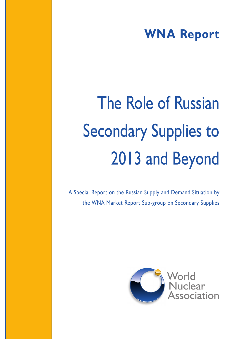## **WNA Report**

# The Role of Russian Secondary Supplies to 2013 and Beyond

A Special Report on the Russian Supply and Demand Situation by the WNA Market Report Sub-group on Secondary Supplies

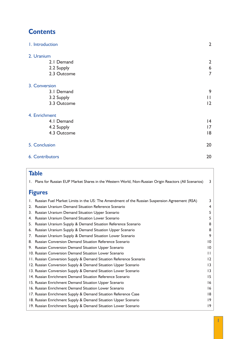## **Contents**

| 2. Uranium<br>2.1 Demand<br>2.2 Supply<br>2.3 Outcome<br>3. Conversion<br>3.1 Demand<br>3.2 Supply<br>3.3 Outcome<br>4. Enrichment<br>4.1 Demand | $\overline{2}$<br>$6\,$<br>$\overline{7}$ |  |
|--------------------------------------------------------------------------------------------------------------------------------------------------|-------------------------------------------|--|
|                                                                                                                                                  |                                           |  |
|                                                                                                                                                  |                                           |  |
|                                                                                                                                                  |                                           |  |
|                                                                                                                                                  |                                           |  |
|                                                                                                                                                  |                                           |  |
|                                                                                                                                                  | 9                                         |  |
|                                                                                                                                                  | П                                         |  |
|                                                                                                                                                  | 2                                         |  |
|                                                                                                                                                  |                                           |  |
|                                                                                                                                                  | 4                                         |  |
| 4.2 Supply                                                                                                                                       | 17                                        |  |
| 4.3 Outcome                                                                                                                                      | 18                                        |  |
| 5. Conclusion                                                                                                                                    | 20                                        |  |
| <b>6. Contributors</b>                                                                                                                           |                                           |  |

### **Table**

|                | 1. Plans for Russian EUP Market Shares in the Western World, Non-Russian Origin Reactors (All Scenarios) | 3               |  |  |  |  |  |  |
|----------------|----------------------------------------------------------------------------------------------------------|-----------------|--|--|--|--|--|--|
| <b>Figures</b> |                                                                                                          |                 |  |  |  |  |  |  |
|                | Russian Fuel Market Limits in the US: The Amendment of the Russian Suspension Agreement (RSA)            | 3               |  |  |  |  |  |  |
| 2.             | <b>Russian Uranium Demand Situation Reference Scenario</b>                                               | 4               |  |  |  |  |  |  |
| 3.             | Russian Uranium Demand Situation Upper Scenario                                                          | 5               |  |  |  |  |  |  |
| 4.             | <b>Russian Uranium Demand Situation Lower Scenario</b>                                                   | 5               |  |  |  |  |  |  |
| 5.             | Russian Uranium Supply & Demand Situation Reference Scenario                                             | 8               |  |  |  |  |  |  |
| 6.             | Russian Uranium Supply & Demand Situation Upper Scenario                                                 | 8               |  |  |  |  |  |  |
| 7.             | Russian Uranium Supply & Demand Situation Lower Scenario                                                 | 9               |  |  |  |  |  |  |
| 8.             | <b>Russian Conversion Demand Situation Reference Scenario</b>                                            | $\overline{10}$ |  |  |  |  |  |  |
|                | 9. Russian Conversion Demand Situation Upper Scenario                                                    | $\overline{10}$ |  |  |  |  |  |  |
|                | 10. Russian Conversion Demand Situation Lower Scenario                                                   | $\mathbf{1}$    |  |  |  |  |  |  |
|                | 11. Russian Conversion Supply & Demand Situation Reference Scenario                                      | 12              |  |  |  |  |  |  |
|                | 12. Russian Conversion Supply & Demand Situation Upper Scenario                                          | 13              |  |  |  |  |  |  |
|                | 13. Russian Conversion Supply & Demand Situation Lower Scenario                                          | $\overline{13}$ |  |  |  |  |  |  |
|                | 14. Russian Enrichment Demand Situation Reference Scenario                                               | 15              |  |  |  |  |  |  |
|                | 15. Russian Enrichment Demand Situation Upper Scenario                                                   | 16              |  |  |  |  |  |  |
|                | 16. Russian Enrichment Demand Situation Lower Scenario                                                   | 16              |  |  |  |  |  |  |
|                | 17. Russian Enrichment Supply & Demand Situation Reference Case                                          | 18              |  |  |  |  |  |  |
|                | 18. Russian Enrichment Supply & Demand Situation Upper Scenario                                          | 9               |  |  |  |  |  |  |
|                | 19. Russian Enrichment Supply & Demand Situation Lower Scenario                                          | 9               |  |  |  |  |  |  |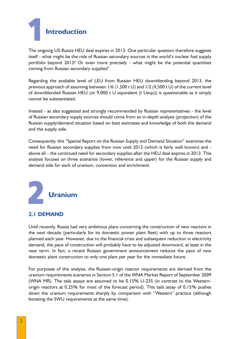

The ongoing US-Russia HEU deal expires in 2013. One particular question therefore suggests itself - what might be the role of Russian secondary sources in the world's nuclear fuel supply portfolio beyond 2013? Or even more precisely - what might be the potential quantities coming from Russian secondary supplies?

Regarding the available level of LEU from Russian HEU downblending beyond 2013, the previous approach of assuming between 1/6 (1,500 t U) and 1/2 (4,500 t U) of the current level of downblended Russian HEU (or 9,000 t U equivalent (t Uequ)) is questionable as it simply cannot be substantiated.

Instead - as also suggested and strongly recommended by Russian representatives - the level of Russian secondary supply sources should come from an in-depth analysis (projection) of the Russian supply/demand situation based on best estimates and knowledge of both the demand and the supply side.

Consequently, this "Special Report on the Russian Supply and Demand Situation" examines the need for Russian secondary supplies from now until 2013 (which is fairly well known) and above all – the continued need for secondary supplies after the HEU deal expires in 2013. This analysis focuses on three scenarios (lower, reference and upper) for the Russian supply and demand side for each of uranium, conversion and enrichment.

# **Uranium** 2

#### **2.1 DEMAND**

Until recently, Russia had very ambitious plans concerning the construction of new reactors in the next decade (particularly for its domestic power plant fleet) with up to three reactors planned each year. However, due to the financial crisis and subsequent reduction in electricity demand, the pace of construction will probably have to be adjusted downward, at least in the near term. In fact, a recent Russian government announcement reduces the pace of new domestic plant construction to only one plant per year for the immediate future.

For purposes of this analysis, the Russian-origin reactor requirements are derived from the uranium requirements scenarios in Section 5.1 of the WNA Market Report of September 2009 (WNA MR). The tails assays are assumed to be 0.15% U-235 (in contrast to the Westernorigin reactors at 0.25% for most of the forecast period). This tails assay of 0.15% pushes down the uranium requirements sharply by comparison with "Western" practice (although boosting the SWU requirements at the same time).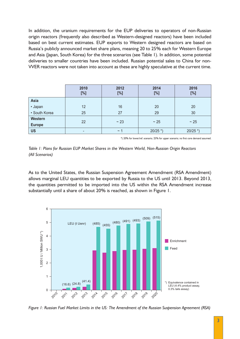In addition, the uranium requirements for the EUP deliveries to operators of non-Russian origin reactors (frequently also described as Western-designed reactors) have been included based on best current estimates. EUP exports to Western designed reactors are based on Russia's publicly announced market share plans, meaning 20 to 25% each for Western Europe and Asia (Japan, South Korea) for the three scenarios (see Table 1). In addition, some potential deliveries to smaller countries have been included. Russian potential sales to China for non-VVER reactors were not taken into account as these are highly speculative at the current time.

|                | 2010<br>[%] | 2012<br>[%] | 2014<br>[%]            | 2016<br>[%]            |
|----------------|-------------|-------------|------------------------|------------------------|
| Asia           |             |             |                        |                        |
| · Japan        | 12          | 16          | 20                     | 20                     |
| · South Korea  | 25          | 27          | 29                     | 30                     |
| <b>Western</b> | 22          | ~23         | $\sim 25$              | $\sim$ 25              |
| <b>Europe</b>  |             |             |                        |                        |
| <b>US</b>      |             | $\thicksim$ | $20/25$ <sup>*</sup> ) | $20/25$ <sup>*</sup> ) |

\*) 20% for lower/ref. scenario; 25% for upper scenario; no first core demand assumed.

*Table 1: Plans for Russian EUP Market Shares in the Western World, Non-Russian Origin Reactors (All Scenarios)*

As to the United States, the Russian Suspension Agreement Amendment (RSA Amendment) allows marginal LEU quantities to be exported by Russia to the US until 2013. Beyond 2013, the quantities permitted to be imported into the US within the RSA Amendment increase substantially until a share of about 20% is reached, as shown in Figure 1.



*Figure 1: Russian Fuel Market Limits in the US: The Amendment of the Russian Suspension Agreement (RSA)*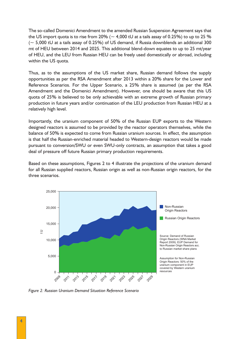The so-called Domenici Amendment to the amended Russian Suspension Agreement says that the US import quota is to rise from 20% ( $\sim$  4,000 tU at a tails assay of 0.25%) to up to 25 %  $\sim$  5,000 tU at a tails assay of 0.25%) of US demand, if Russia downblends an additional 300 mt of HEU between 2014 and 2025. This additional blend-down equates to up to 25 mt/year of HEU, and the LEU from Russian HEU can be freely used domestically or abroad, including within the US quota.

Thus, as to the assumptions of the US market share, Russian demand follows the supply opportunities as per the RSA Amendment after 2013 within a 20% share for the Lower and Reference Scenarios. For the Upper Scenario, a 25% share is assumed (as per the RSA Amendment and the Domenici Amendment). However, one should be aware that this US quota of 25% is believed to be only achievable with an extreme growth of Russian primary production in future years and/or continuation of the LEU production from Russian HEU at a relatively high level.

Importantly, the uranium component of 50% of the Russian EUP exports to the Western designed reactors is assumed to be provided by the reactor operators themselves, while the balance of 50% is expected to come from Russian uranium sources. In effect, the assumption is that half the Russian-enriched material headed to Western-design reactors would be made pursuant to conversion/SWU or even SWU-only contracts, an assumption that takes a good deal of pressure off future Russian primary production requirements.

Based on these assumptions, Figures 2 to 4 illustrate the projections of the uranium demand for all Russian supplied reactors, Russian origin as well as non-Russian origin reactors, for the three scenarios.



*Figure 2: Russian Uranium Demand Situation Reference Scenario*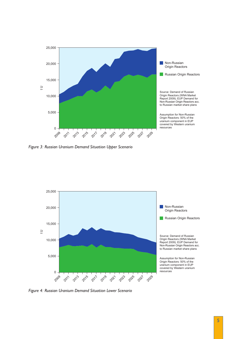

*Figure 3: Russian Uranium Demand Situation Upper Scenario*



*Figure 4: Russian Uranium Demand Situation Lower Scenario*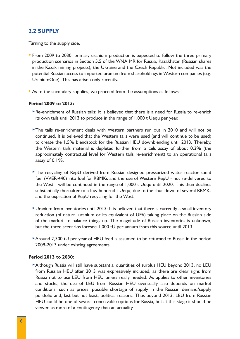#### **2.2 SUPPLY**

Turning to the supply side,

- From 2009 to 2030, primary uranium production is expected to follow the three primary production scenarios in Section 5.5 of the WNA MR for Russia, Kazakhstan (Russian shares in the Kazak mining projects), the Ukraine and the Czech Republic. Not included was the potential Russian access to imported uranium from shareholdings in Western companies (e.g. UraniumOne). This has arisen only recently.
- As to the secondary supplies, we proceed from the assumptions as follows:

#### **Period 2009 to 2013:**

- Re-enrichment of Russian tails: It is believed that there is a need for Russia to re-enrich its own tails until 2013 to produce in the range of 1,000 t Uequ per year.
- The tails re-enrichment deals with Western partners run out in 2010 and will not be continued. It is believed that the Western tails were used (and will continue to be used) to create the 1.5% blendstock for the Russian HEU downblending until 2013. Thereby, the Western tails material is depleted further from a tails assay of about 0.2% (the approximately contractual level for Western tails re-enrichment) to an operational tails assay of 0.1%.
- The recycling of RepU derived from Russian-designed pressurized water reactor spent fuel (VVER-440) into fuel for RBMKs and the use of Western RepU - not re-delivered to the West - will be continued in the range of 1,000 t Uequ until 2020. This then declines substantially thereafter to a few hundred t Uequ, due to the shut-down of several RBMKs and the expiration of RepU recycling for the West.
- Uranium from inventories until 2013: It is believed that there is currently a small inventory reduction (of natural uranium or its equivalent of UF6) taking place on the Russian side of the market, to balance things up. The magnitude of Russian inventories is unknown, but the three scenarios foresee 1,000 tU per annum from this source until 2013.
- Around 2,300 tU per year of HEU feed is assumed to be returned to Russia in the period 2009-2013 under existing agreements.

#### **Period 2013 to 2030:**

Although Russia will still have substantial quantities of surplus HEU beyond 2013, no LEU from Russian HEU after 2013 was expressively included, as there are clear signs from Russia not to use LEU from HEU unless really needed. As applies to other inventories and stocks, the use of LEU from Russian HEU eventually also depends on market conditions, such as prices, possible shortage of supply in the Russian demand/supply portfolio and, last but not least, political reasons. Thus beyond 2013, LEU from Russian HEU could be one of several conceivable options for Russia, but at this stage it should be viewed as more of a contingency than an actuality.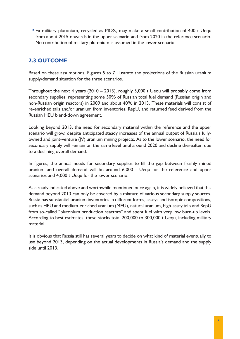Ex-military plutonium, recycled as MOX, may make a small contribution of 400 t Uequ from about 2015 onwards in the upper scenario and from 2020 in the reference scenario. No contribution of military plutonium is assumed in the lower scenario.

#### **2.3 OUTCOME**

Based on these assumptions, Figures 5 to 7 illustrate the projections of the Russian uranium supply/demand situation for the three scenarios.

Throughout the next 4 years  $(2010 - 2013)$ , roughly 5,000 t Uequ will probably come from secondary supplies, representing some 50% of Russian total fuel demand (Russian origin and non-Russian origin reactors) in 2009 and about 40% in 2013. These materials will consist of re-enriched tails and/or uranium from inventories, RepU, and returned feed derived from the Russian HEU blend-down agreement.

Looking beyond 2013, the need for secondary material within the reference and the upper scenario will grow, despite anticipated steady increases of the annual output of Russia's fullyowned and joint-venture (JV) uranium mining projects. As to the lower scenario, the need for secondary supply will remain on the same level until around 2020 and decline thereafter, due to a declining overall demand.

In figures, the annual needs for secondary supplies to fill the gap between freshly mined uranium and overall demand will be around 6,000 t Uequ for the reference and upper scenarios and 4,000 t Uequ for the lower scenario.

As already indicated above and worthwhile mentioned once again, it is widely believed that this demand beyond 2013 can only be covered by a mixture of various secondary supply sources. Russia has substantial uranium inventories in different forms, assays and isotopic compositions, such as HEU and medium-enriched uranium (MEU), natural uranium, high-assay tails and RepU from so-called "plutonium production reactors" and spent fuel with very low burn-up levels. According to best estimates, these stocks total 200,000 to 300,000 t Uequ, including military material.

It is obvious that Russia still has several years to decide on what kind of material eventually to use beyond 2013, depending on the actual developments in Russia's demand and the supply side until 2013.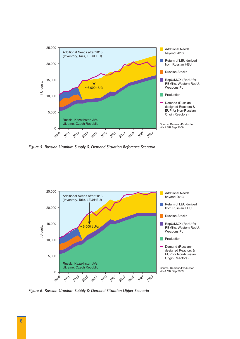

*Figure 5: Russian Uranium Supply & Demand Situation Reference Scenario*



*Figure 6: Russian Uranium Supply & Demand Situation Upper Scenario*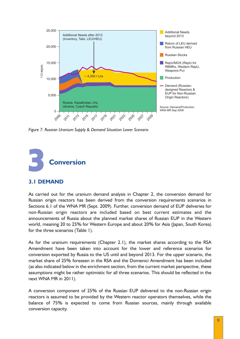

*Figure 7: Russian Uranium Supply & Demand Situation Lower Scenario*



#### **3.1 DEMAND**

As carried out for the uranium demand analysis in Chapter 2, the conversion demand for Russian origin reactors has been derived from the conversion requirements scenarios in Sections 6.1 of the WNA MR (Sept. 2009). Further, conversion demand of EUP deliveries for non-Russian origin reactors are included based on best current estimates and the announcements of Russia about the planned market shares of Russian EUP in the Western world, meaning 20 to 25% for Western Europe and about 20% for Asia (Japan, South Korea) for the three scenarios (Table 1).

As for the uranium requirements (Chapter 2.1), the market shares according to the RSA Amendment have been taken into account for the lower and reference scenarios for conversion exported by Russia to the US until and beyond 2013. For the upper scenario, the market share of 25% foreseen in the RSA and the Domenici Amendment has been included (as also indicated below in the enrichment section, from the current market perspective, these assumptions might be rather optimistic for all three scenarios. This should be reflected in the next WNA MR in 2011).

A conversion component of 25% of the Russian EUP delivered to the non-Russian origin reactors is assumed to be provided by the Western reactor operators themselves, while the balance of 75% is expected to come from Russian sources, mainly through available conversion capacity.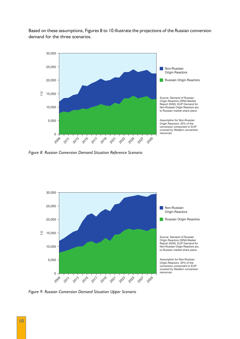Based on these assumptions, Figures 8 to 10 illustrate the projections of the Russian conversion demand for the three scenarios.



*Figure 8: Russian Conversion Demand Situation Reference Scenario*



*Figure 9: Russian Conversion Demand Situation Upper Scenario*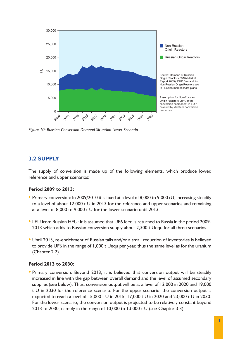

*Figure 10: Russian Conversion Demand Situation Lower Scenario*

#### **3.2 SUPPLY**

The supply of conversion is made up of the following elements, which produce lower, reference and upper scenarios:

#### **Period 2009 to 2013:**

- Primary conversion: In 2009/2010 it is fixed at a level of 8,000 to 9,000 tU, increasing steadily to a level of about 12,000 t U in 2013 for the reference and upper scenarios and remaining at a level of 8,000 to 9,000 t U for the lower scenario until 2013.
- LEU from Russian HEU: It is assumed that UF6 feed is returned to Russia in the period 2009- 2013 which adds to Russian conversion supply about 2,300 t Uequ for all three scenarios.
- Until 2013, re-enrichment of Russian tails and/or a small reduction of inventories is believed to provide UF6 in the range of 1,000 t Uequ per year, thus the same level as for the uranium (Chapter 2.2).

#### **Period 2013 to 2030:**

Primary conversion: Beyond 2013, it is believed that conversion output will be steadily increased in line with the gap between overall demand and the level of assumed secondary supplies (see below). Thus, conversion output will be at a level of 12,000 in 2020 and 19,000 t U in 2030 for the reference scenario. For the upper scenario, the conversion output is expected to reach a level of 15,000 t U in 2015, 17,000 t U in 2020 and 23,000 t U in 2030. For the lower scenario, the conversion output is projected to be relatively constant beyond 2013 to 2030, namely in the range of 10,000 to 13,000 t U (see Chapter 3.3).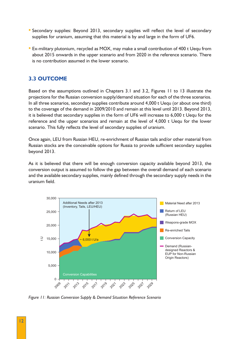- Secondary supplies: Beyond 2013, secondary supplies will reflect the level of secondary supplies for uranium, assuming that this material is by and large in the form of UF6.
- Ex-military plutonium, recycled as MOX, may make a small contribution of 400 t Uequ from about 2015 onwards in the upper scenario and from 2020 in the reference scenario. There is no contribution assumed in the lower scenario.

#### **3.3 OUTCOME**

Based on the assumptions outlined in Chapters 3.1 and 3.2, Figures 11 to 13 illustrate the projections for the Russian conversion supply/demand situation for each of the three scenarios. In all three scenarios, secondary supplies contribute around 4,000 t Uequ (or about one third) to the coverage of the demand in 2009/2010 and remain at this level until 2013. Beyond 2013, it is believed that secondary supplies in the form of UF6 will increase to 6,000 t Uequ for the reference and the upper scenarios and remain at the level of 4,000 t Uequ for the lower scenario. This fully reflects the level of secondary supplies of uranium.

Once again, LEU from Russian HEU, re-enrichment of Russian tails and/or other material from Russian stocks are the conceivable options for Russia to provide sufficient secondary supplies beyond 2013.

As it is believed that there will be enough conversion capacity available beyond 2013, the conversion output is assumed to follow the gap between the overall demand of each scenario and the available secondary supplies, mainly defined through the secondary supply needs in the uranium field.



*Figure 11: Russian Conversion Supply & Demand Situation Reference Scenario*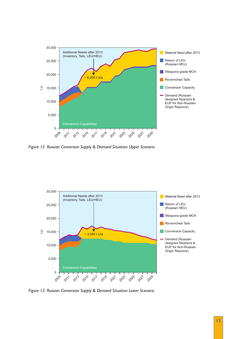

*Figure 12: Russian Conversion Supply & Demand Situation Upper Scenario*



*Figure 13: Russian Conversion Supply & Demand Situation Lower Scenario*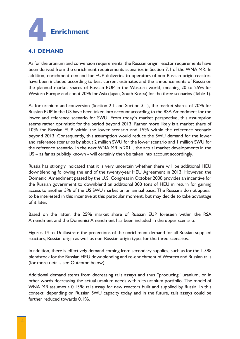

#### **4.1 DEMAND**

As for the uranium and conversion requirements, the Russian origin reactor requirements have been derived from the enrichment requirements scenarios in Section 7.1 of the WNA MR. In addition, enrichment demand for EUP deliveries to operators of non-Russian origin reactors have been included according to best current estimates and the announcements of Russia on the planned market shares of Russian EUP in the Western world, meaning 20 to 25% for Western Europe and about 20% for Asia (Japan, South Korea) for the three scenarios (Table 1).

As for uranium and conversion (Section 2.1 and Section 3.1), the market shares of 20% for Russian EUP in the US have been taken into account according to the RSA Amendment for the lower and reference scenario for SWU. From today's market perspective, this assumption seems rather optimistic for the period beyond 2013. Rather more likely is a market share of 10% for Russian EUP within the lower scenario and 15% within the reference scenario beyond 2013. Consequently, this assumption would reduce the SWU demand for the lower and reference scenarios by about 2 million SWU for the lower scenario and 1 million SWU for the reference scenario. In the next WNA MR in 2011, the actual market developments in the US – as far as publicly known - will certainly then be taken into account accordingly.

Russia has strongly indicated that it is very uncertain whether there will be additional HEU downblending following the end of the twenty-year HEU Agreement in 2013. However, the Domenici Amendment passed by the U.S. Congress in October 2008 provides an incentive for the Russian government to downblend an additional 300 tons of HEU in return for gaining access to another 5% of the US SWU market on an annual basis. The Russians do not appear to be interested in this incentive at this particular moment, but may decide to take advantage of it later.

Based on the latter, the 25% market share of Russian EUP foreseen within the RSA Amendment and the Domenici Amendment has been included in the upper scenario.

Figures 14 to 16 illustrate the projections of the enrichment demand for all Russian supplied reactors, Russian origin as well as non-Russian origin type, for the three scenarios.

In addition, there is effectively demand coming from secondary supplies, such as for the 1.5% blendstock for the Russian HEU downblending and re-enrichment of Western and Russian tails (for more details see Outcome below).

Additional demand stems from decreasing tails assays and thus "producing" uranium, or in other words decreasing the actual uranium needs within its uranium portfolio. The model of WNA MR assumes a 0.15% tails assay for new reactors built and supplied by Russia. In this context, depending on Russian SWU capacity today and in the future, tails assays could be further reduced towards 0.1%.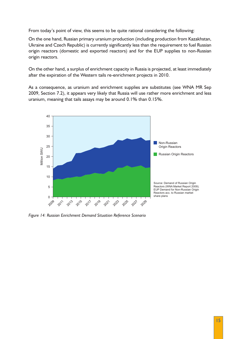From today's point of view, this seems to be quite rational considering the following:

On the one hand, Russian primary uranium production (including production from Kazakhstan, Ukraine and Czech Republic) is currently significantly less than the requirement to fuel Russian origin reactors (domestic and exported reactors) and for the EUP supplies to non-Russian origin reactors.

On the other hand, a surplus of enrichment capacity in Russia is projected, at least immediately after the expiration of the Western tails re-enrichment projects in 2010.

As a consequence, as uranium and enrichment supplies are substitutes (see WNA MR Sep 2009, Section 7.2), it appears very likely that Russia will use rather more enrichment and less uranium, meaning that tails assays may be around 0.1% than 0.15%.



*Figure 14: Russian Enrichment Demand Situation Reference Scenario*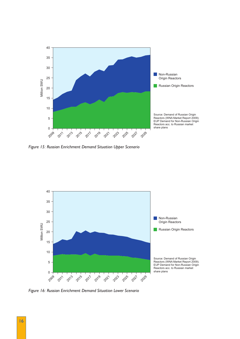

*Figure 15: Russian Enrichment Demand Situation Upper Scenario*



*Figure 16: Russian Enrichment Demand Situation Lower Scenario*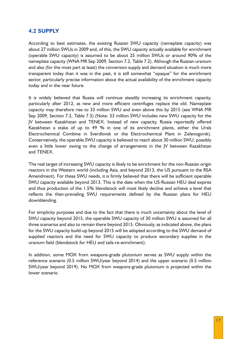#### **4.2 SUPPLY**

According to best estimates, the existing Russian SWU capacity (nameplate capacity) was about 27 million SWUs in 2009 and, of this, the SWU capacity actually available for enrichment (operable SWU capacity) is assumed to be about 25 million SWUs or around 90% of the nameplate capacity (WNA MR Sep 2009, Section 7.2, Table 7.2). Although the Russian uranium and also (for the most part at least) the conversion supply and demand situation is much more transparent today than it was in the past, it is still somewhat "opaque" for the enrichment sector, particularly precise information about the actual availability of the enrichment capacity today and in the near future.

It is widely believed that Russia will continue steadily increasing its enrichment capacity, particularly after 2012, as new and more efficient centrifuges replace the old. Nameplate capacity may therefore rise to 33 million SWU and even above this by 2015 (see WNA MR Sep 2009, Section 7.2, Table 7.3) (Note: 33 million SWU includes new SWU capacity for the JV between Kazakhstan and TENEX. Instead of new capacity, Russia reportedly offered Kazakhstan a stake of up to 49 % in one of its enrichment plants, either the Urals Electrochemical Combine in Sverdlovsk or the Electrochemical Plant in Zelenogorsk). Conservatively, the operable SWU capacity is believed to reach about 30 million SWU, possibly even a little lower owing to the change of arrangements in the JV between Kazakhstan and TENEX.

The real target of increasing SWU capacity is likely to be enrichment for the non-Russian origin reactors in the Western world (including Asia, and beyond 2013, the US pursuant to the RSA Amendment). For these SWU needs, it is firmly believed that there will be sufficient operable SWU capacity available beyond 2013. This is the date when the US-Russian HEU deal expires and thus production of the 1.5% blendstock will most likely decline and achieve a level that reflects the then-prevailing SWU requirements defined by the Russian plans for HEU downblending.

For simplicity purposes and due to the fact that there is much uncertainty about the level of SWU capacity beyond 2015, the operable SWU capacity of 30 million SWU is assumed for all three scenarios and also to remain there beyond 2015. Obviously, as indicated above, the plans for the SWU capacity build-up beyond 2015 will be adopted according to the SWU demand of supplied reactors and the need for SWU capacity to produce secondary supplies in the uranium field (blendstock for HEU and tails-re-enrichment).

In addition, some MOX from weapons-grade plutonium serves as SWU supply within the reference scenario (0.5 million SWU/year beyond 2014) and the upper scenario (0.5 million SWU/year beyond 2019). No MOX from weapons-grade plutonium is projected within the lower scenario.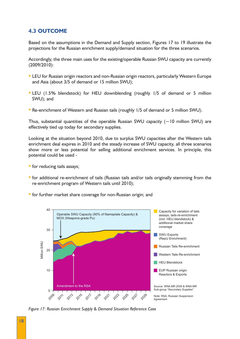#### **4.3 OUTCOME**

Based on the assumptions in the Demand and Supply section, Figures 17 to 19 illustrate the projections for the Russian enrichment supply/demand situation for the three scenarios.

Accordingly, the three main uses for the existing/operable Russian SWU capacity are currently (2009/2010):

- **LEU** for Russian origin reactors and non-Russian origin reactors, particularly Western Europe and Asia (about 3/5 of demand or 15 million SWU);
- LEU (1.5% blendstock) for HEU downblending (roughly 1/5 of demand or 5 million SWU); and
- Re-enrichment of Western and Russian tails (roughly 1/5 of demand or 5 million SWU).

Thus, substantial quantities of the operable Russian SWU capacity  $(\sim 10$  million SWU) are effectively tied up today for secondary supplies.

Looking at the situation beyond 2010, due to surplus SWU capacities after the Western tails enrichment deal expires in 2010 and the steady increase of SWU capacity, all three scenarios show more or less potential for selling additional enrichment services. In principle, this potential could be used -

- $\blacktriangleright$  for reducing tails assays;
- for additional re-enrichment of tails (Russian tails and/or tails originally stemming from the re-enrichment program of Western tails until 2010);
- for further market share coverage for non-Russian origin; and



*Figure 17: Russian Enrichment Supply & Demand Situation Reference Case*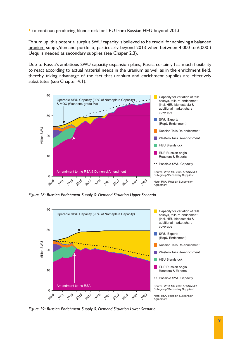to continue producing blendstock for LEU from Russian HEU beyond 2013.

To sum up, this potential surplus SWU capacity is believed to be crucial for achieving a balanced uranium supply/demand portfolio, particularly beyond 2013 when between 4,000 to 6,000 t Uequ is needed as secondary supplies (see Chaper 2.3).

Due to Russia's ambitious SWU capacity expansion plans, Russia certainly has much flexibility to react according to actual material needs in the uranium as well as in the enrichment field, thereby taking advantage of the fact that uranium and enrichment supplies are effectively substitutes (see Chapter 4.1).



*Figure 18: Russian Enrichment Supply & Demand Situation Upper Scenario*



*Figure 19: Russian Enrichment Supply & Demand Situation Lower Scenario*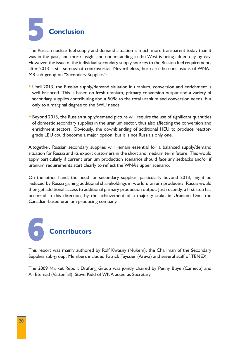**Conclusion** 5

The Russian nuclear fuel supply and demand situation is much more transparent today than it was in the past, and more insight and understanding in the West is being added day by day. However, the issue of the individual secondary supply sources to the Russian fuel requirements after 2013 is still somewhat controversial. Nevertheless, here are the conclusions of WNA's MR sub-group on "Secondary Supplies":

- Until 2013, the Russian supply/demand situation in uranium, conversion and enrichment is well-balanced. This is based on fresh uranium, primary conversion output and a variety of secondary supplies contributing about 50% to the total uranium and conversion needs, but only to a marginal degree to the SWU needs.
- $\triangleright$  Beyond 2013, the Russian supply/demand picture will require the use of significant quantities of domestic secondary supplies in the uranium sector, thus also affecting the conversion and enrichment sectors. Obviously, the downblending of additional HEU to produce reactorgrade LEU could become a major option, but it is not Russia's only one.

Altogether, Russian secondary supplies will remain essential for a balanced supply/demand situation for Russia and its export customers in the short and medium term future. This would apply particularly if current uranium production scenarios should face any setbacks and/or if uranium requirements start clearly to reflect the WNA's upper scenario.

On the other hand, the need for secondary supplies, particularly beyond 2013, might be reduced by Russia gaining additional shareholdings in world uranium producers. Russia would then get additional access to additional primary production output. Just recently, a first step has occurred in this direction, by the achievement of a majority stake in Uranium One, the Canadian-based uranium producing company.



This report was mainly authored by Rolf Kwasny (Nukem), the Chairman of the Secondary Supplies sub-group. Members included Patrick Teyssier (Areva) and several staff of TENEX.

The 2009 Market Report Drafting Group was jointly chaired by Penny Buye (Cameco) and Ali Etemad (Vattenfall). Steve Kidd of WNA acted as Secretary.